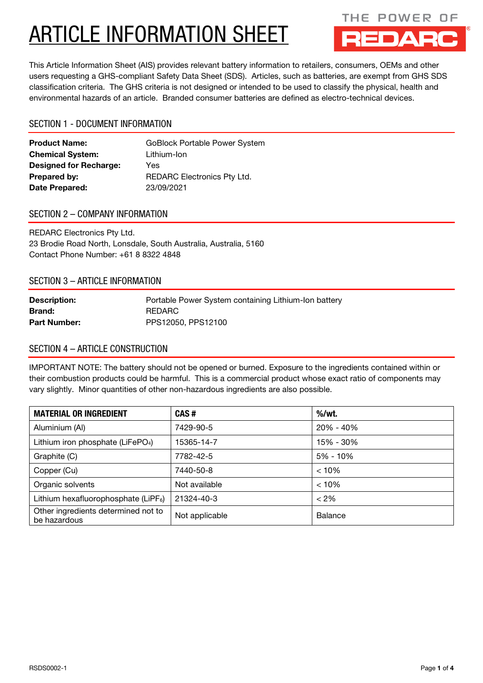

This Article Information Sheet (AIS) provides relevant battery information to retailers, consumers, OEMs and other users requesting a GHS-compliant Safety Data Sheet (SDS). Articles, such as batteries, are exempt from GHS SDS classification criteria. The GHS criteria is not designed or intended to be used to classify the physical, health and environmental hazards of an article. Branded consumer batteries are defined as electro-technical devices.

## SECTION 1 - DOCUMENT INFORMATION

| <b>Product Name:</b>          | <b>GoBlock Portable Power System</b> |
|-------------------------------|--------------------------------------|
| <b>Chemical System:</b>       | Lithium-Ion                          |
| <b>Designed for Recharge:</b> | Yes                                  |
| <b>Prepared by:</b>           | <b>REDARC Electronics Pty Ltd.</b>   |
| Date Prepared:                | 23/09/2021                           |

## SECTION 2 – COMPANY INFORMATION

REDARC Electronics Pty Ltd. 23 Brodie Road North, Lonsdale, South Australia, Australia, 5160 Contact Phone Number: +61 8 8322 4848

## SECTION 3 – ARTICLE INFORMATION

| <b>Description:</b> | Portable Power System containing Lithium-Ion battery |
|---------------------|------------------------------------------------------|
| <b>Brand:</b>       | REDARC                                               |
| <b>Part Number:</b> | PPS12050, PPS12100                                   |

## SECTION 4 – ARTICLE CONSTRUCTION

IMPORTANT NOTE: The battery should not be opened or burned. Exposure to the ingredients contained within or their combustion products could be harmful. This is a commercial product whose exact ratio of components may vary slightly. Minor quantities of other non-hazardous ingredients are also possible.

| <b>MATERIAL OR INGREDIENT</b>                       | CAS#           | $%$ /wt.     |  |
|-----------------------------------------------------|----------------|--------------|--|
| Aluminium (AI)                                      | 7429-90-5      | 20% - 40%    |  |
| Lithium iron phosphate (LiFePO <sub>4</sub> )       | 15365-14-7     | 15% - 30%    |  |
| Graphite (C)                                        | 7782-42-5      | $5\% - 10\%$ |  |
| Copper (Cu)                                         | 7440-50-8      | < 10%        |  |
| Organic solvents                                    | Not available  | < 10%        |  |
| Lithium hexafluorophosphate (LiPF $_6$ )            | 21324-40-3     | $< 2\%$      |  |
| Other ingredients determined not to<br>be hazardous | Not applicable | Balance      |  |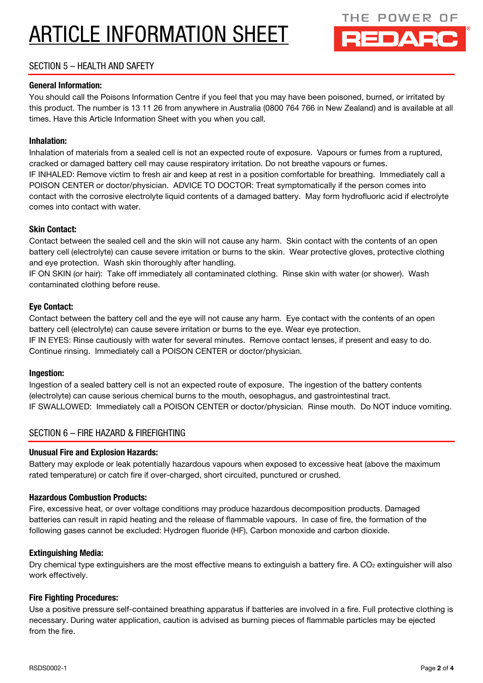

## SECTION 5 – HEALTH AND SAFETY

#### General Information:

You should call the Poisons Information Centre if you feel that you may have been poisoned, burned, or irritated by this product. The number is 13 11 26 from anywhere in Australia (0800 764 766 in New Zealand) and is available at all times. Have this Article Information Sheet with you when you call.

#### Inhalation:

Inhalation of materials from a sealed cell is not an expected route of exposure. Vapours or fumes from a ruptured, cracked or damaged battery cell may cause respiratory irritation. Do not breathe vapours or fumes. IF INHALED: Remove victim to fresh air and keep at rest in a position comfortable for breathing. Immediately call a POISON CENTER or doctor/physician. ADVICE TO DOCTOR: Treat symptomatically if the person comes into contact with the corrosive electrolyte liquid contents of a damaged battery. May form hydrofluoric acid if electrolyte comes into contact with water.

#### Skin Contact:

Contact between the sealed cell and the skin will not cause any harm. Skin contact with the contents of an open battery cell (electrolyte) can cause severe irritation or burns to the skin. Wear protective gloves, protective clothing and eye protection. Wash skin thoroughly after handling.

IF ON SKIN (or hair): Take off immediately all contaminated clothing. Rinse skin with water (or shower). Wash contaminated clothing before reuse.

#### Eye Contact:

Contact between the battery cell and the eye will not cause any harm. Eye contact with the contents of an open battery cell (electrolyte) can cause severe irritation or burns to the eye. Wear eye protection. IF IN EYES: Rinse cautiously with water for several minutes. Remove contact lenses, if present and easy to do. Continue rinsing. Immediately call a POISON CENTER or doctor/physician.

#### Ingestion:

Ingestion of a sealed battery cell is not an expected route of exposure. The ingestion of the battery contents (electrolyte) can cause serious chemical burns to the mouth, oesophagus, and gastrointestinal tract. IF SWALLOWED: Immediately call a POISON CENTER or doctor/physician. Rinse mouth. Do NOT induce vomiting.

### SECTION 6 – FIRE HAZARD & FIREFIGHTING

#### Unusual Fire and Explosion Hazards:

Battery may explode or leak potentially hazardous vapours when exposed to excessive heat (above the maximum rated temperature) or catch fire if over-charged, short circuited, punctured or crushed.

#### Hazardous Combustion Products:

Fire, excessive heat, or over voltage conditions may produce hazardous decomposition products. Damaged batteries can result in rapid heating and the release of flammable vapours. In case of fire, the formation of the following gases cannot be excluded: Hydrogen fluoride (HF), Carbon monoxide and carbon dioxide.

#### Extinguishing Media:

Dry chemical type extinguishers are the most effective means to extinguish a battery fire. A  $CO<sub>2</sub>$  extinguisher will also work effectively.

#### Fire Fighting Procedures:

Use a positive pressure self-contained breathing apparatus if batteries are involved in a fire. Full protective clothing is necessary. During water application, caution is advised as burning pieces of flammable particles may be ejected from the fire.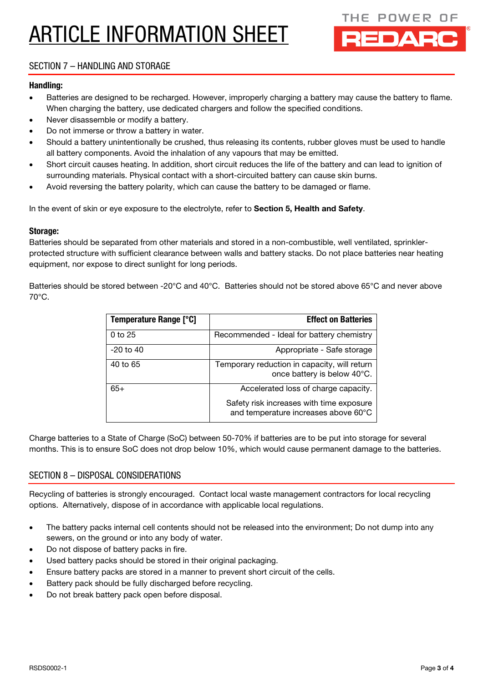

## SECTION 7 – HANDLING AND STORAGE

#### Handling:

- Batteries are designed to be recharged. However, improperly charging a battery may cause the battery to flame. When charging the battery, use dedicated chargers and follow the specified conditions.
- Never disassemble or modify a battery.
- Do not immerse or throw a battery in water.
- Should a battery unintentionally be crushed, thus releasing its contents, rubber gloves must be used to handle all battery components. Avoid the inhalation of any vapours that may be emitted.
- Short circuit causes heating. In addition, short circuit reduces the life of the battery and can lead to ignition of surrounding materials. Physical contact with a short-circuited battery can cause skin burns.
- Avoid reversing the battery polarity, which can cause the battery to be damaged or flame.

In the event of skin or eye exposure to the electrolyte, refer to Section 5, Health and Safety.

#### Storage:

Batteries should be separated from other materials and stored in a non-combustible, well ventilated, sprinklerprotected structure with sufficient clearance between walls and battery stacks. Do not place batteries near heating equipment, nor expose to direct sunlight for long periods.

Batteries should be stored between -20°C and 40°C. Batteries should not be stored above 65°C and never above 70°C.

| <b>Temperature Range [°C]</b> | <b>Effect on Batteries</b>                                                       |
|-------------------------------|----------------------------------------------------------------------------------|
| $0$ to 25                     | Recommended - Ideal for battery chemistry                                        |
| $-20$ to $40$                 | Appropriate - Safe storage                                                       |
| 40 to 65                      | Temporary reduction in capacity, will return<br>once battery is below 40°C.      |
| $65+$                         | Accelerated loss of charge capacity.                                             |
|                               | Safety risk increases with time exposure<br>and temperature increases above 60°C |

Charge batteries to a State of Charge (SoC) between 50-70% if batteries are to be put into storage for several months. This is to ensure SoC does not drop below 10%, which would cause permanent damage to the batteries.

### SECTION 8 – DISPOSAL CONSIDERATIONS

Recycling of batteries is strongly encouraged. Contact local waste management contractors for local recycling options. Alternatively, dispose of in accordance with applicable local regulations.

- The battery packs internal cell contents should not be released into the environment; Do not dump into any sewers, on the ground or into any body of water.
- Do not dispose of battery packs in fire.
- Used battery packs should be stored in their original packaging.
- Ensure battery packs are stored in a manner to prevent short circuit of the cells.
- Battery pack should be fully discharged before recycling.
- Do not break battery pack open before disposal.